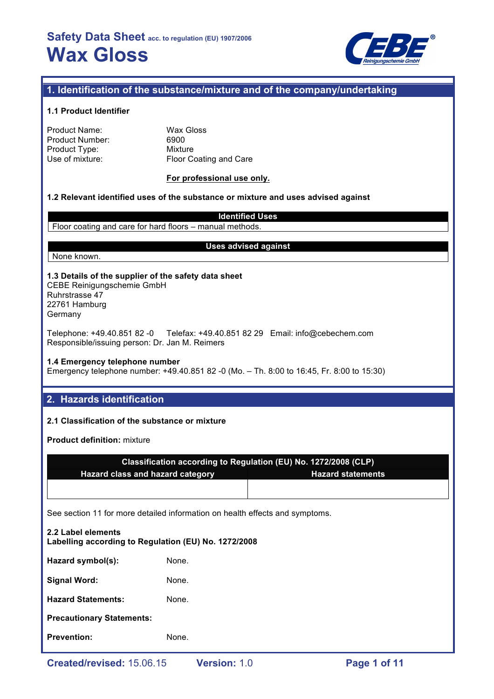

## **1. Identification of the substance/mixture and of the company/undertaking**

#### **1.1 Product Identifier**

| Product Name:          |
|------------------------|
| <b>Product Number:</b> |
| Product Type:          |
| Use of mixture:        |

Wax Gloss 6900 **Mixture** Floor Coating and Care

#### **For professional use only.**

### **1.2 Relevant identified uses of the substance or mixture and uses advised against**

**Identified Uses** Floor coating and care for hard floors – manual methods.

None known.

#### **Uses advised against**

#### **1.3 Details of the supplier of the safety data sheet** CEBE Reinigungschemie GmbH Ruhrstrasse 47

22761 Hamburg Germany

Telephone: +49.40.851 82 -0 Telefax: +49.40.851 82 29 Email: info@cebechem.com Responsible/issuing person: Dr. Jan M. Reimers

#### **1.4 Emergency telephone number**

Emergency telephone number: +49.40.851 82 -0 (Mo. – Th. 8:00 to 16:45, Fr. 8:00 to 15:30)

## **2. Hazards identification**

### **2.1 Classification of the substance or mixture**

**Product definition:** mixture

| Classification according to Regulation (EU) No. 1272/2008 (CLP) |                          |  |  |
|-----------------------------------------------------------------|--------------------------|--|--|
| <b>Hazard class and hazard category</b>                         | <b>Hazard statements</b> |  |  |
|                                                                 |                          |  |  |

See section 11 for more detailed information on health effects and symptoms.

| 2.2 Label elements<br>Labelling according to Regulation (EU) No. 1272/2008 |       |  |  |
|----------------------------------------------------------------------------|-------|--|--|
| Hazard symbol(s):                                                          | None. |  |  |
| <b>Signal Word:</b>                                                        | None. |  |  |
| <b>Hazard Statements:</b>                                                  | None. |  |  |
| <b>Precautionary Statements:</b>                                           |       |  |  |
| <b>Prevention:</b>                                                         | None. |  |  |
|                                                                            |       |  |  |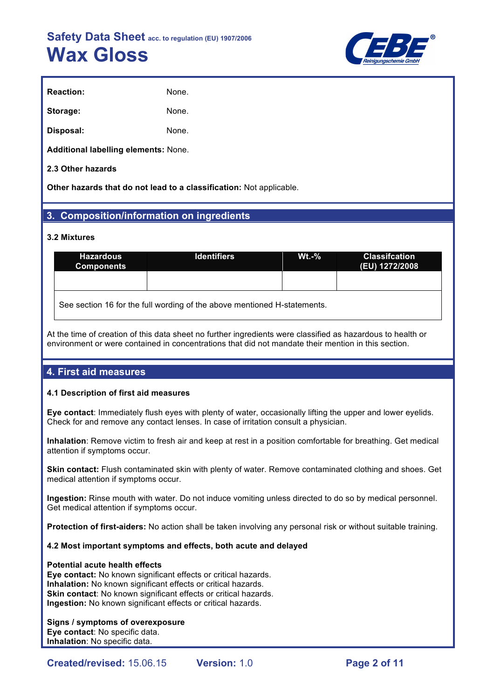

| <b>Reaction:</b> | None. |
|------------------|-------|
| Storage:         | None. |
| Disposal:        | None. |

**Additional labelling elements:** None.

### **2.3 Other hazards**

**Other hazards that do not lead to a classification:** Not applicable.

## **3. Composition/information on ingredients**

#### **3.2 Mixtures**

| <b>Hazardous</b><br><b>Components</b>                                    | <b>Identifiers</b> | $Wt.-%$ | <b>Classifcation</b><br>(EU) 1272/2008 |  |  |
|--------------------------------------------------------------------------|--------------------|---------|----------------------------------------|--|--|
|                                                                          |                    |         |                                        |  |  |
| See section 16 for the full wording of the above mentioned H-statements. |                    |         |                                        |  |  |

At the time of creation of this data sheet no further ingredients were classified as hazardous to health or environment or were contained in concentrations that did not mandate their mention in this section.

# **4. First aid measures**

#### **4.1 Description of first aid measures**

**Eye contact**: Immediately flush eyes with plenty of water, occasionally lifting the upper and lower eyelids. Check for and remove any contact lenses. In case of irritation consult a physician.

**Inhalation**: Remove victim to fresh air and keep at rest in a position comfortable for breathing. Get medical attention if symptoms occur.

**Skin contact:** Flush contaminated skin with plenty of water. Remove contaminated clothing and shoes. Get medical attention if symptoms occur.

**Ingestion:** Rinse mouth with water. Do not induce vomiting unless directed to do so by medical personnel. Get medical attention if symptoms occur.

**Protection of first-aiders:** No action shall be taken involving any personal risk or without suitable training.

#### **4.2 Most important symptoms and effects, both acute and delayed**

#### **Potential acute health effects**

**Eye contact:** No known significant effects or critical hazards. **Inhalation:** No known significant effects or critical hazards. **Skin contact:** No known significant effects or critical hazards. **Ingestion:** No known significant effects or critical hazards.

#### **Signs / symptoms of overexposure**

**Eye contact**: No specific data. **Inhalation**: No specific data.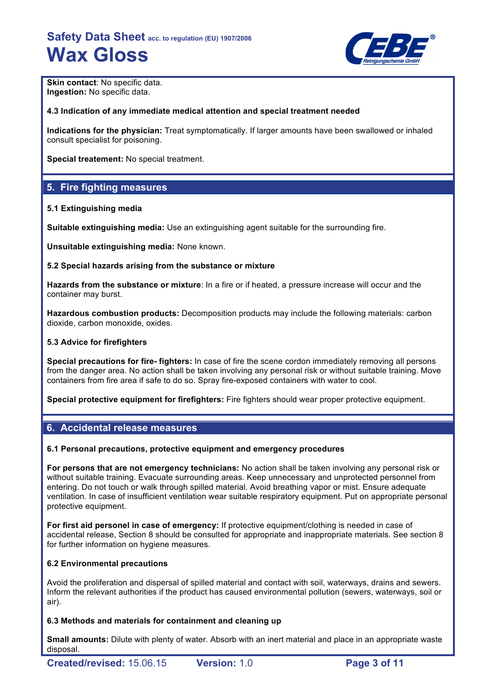

**Skin contact: No specific data. Ingestion:** No specific data.

#### **4.3 Indication of any immediate medical attention and special treatment needed**

**Indications for the physician:** Treat symptomatically. If larger amounts have been swallowed or inhaled consult specialist for poisoning.

**Special treatement:** No special treatment.

# **5. Fire fighting measures**

#### **5.1 Extinguishing media**

**Suitable extinguishing media:** Use an extinguishing agent suitable for the surrounding fire.

**Unsuitable extinguishing media:** None known.

#### **5.2 Special hazards arising from the substance or mixture**

**Hazards from the substance or mixture**: In a fire or if heated, a pressure increase will occur and the container may burst.

**Hazardous combustion products:** Decomposition products may include the following materials: carbon dioxide, carbon monoxide, oxides.

#### **5.3 Advice for firefighters**

**Special precautions for fire- fighters:** In case of fire the scene cordon immediately removing all persons from the danger area. No action shall be taken involving any personal risk or without suitable training. Move containers from fire area if safe to do so. Spray fire-exposed containers with water to cool.

**Special protective equipment for firefighters:** Fire fighters should wear proper protective equipment.

## **6. Accidental release measures**

#### **6.1 Personal precautions, protective equipment and emergency procedures**

**For persons that are not emergency technicians:** No action shall be taken involving any personal risk or without suitable training. Evacuate surrounding areas. Keep unnecessary and unprotected personnel from entering. Do not touch or walk through spilled material. Avoid breathing vapor or mist. Ensure adequate ventilation. In case of insufficient ventilation wear suitable respiratory equipment. Put on appropriate personal protective equipment.

**For first aid personel in case of emergency:** If protective equipment/clothing is needed in case of accidental release, Section 8 should be consulted for appropriate and inappropriate materials. See section 8 for further information on hygiene measures.

#### **6.2 Environmental precautions**

Avoid the proliferation and dispersal of spilled material and contact with soil, waterways, drains and sewers. Inform the relevant authorities if the product has caused environmental pollution (sewers, waterways, soil or air).

#### **6.3 Methods and materials for containment and cleaning up**

**Small amounts:** Dilute with plenty of water. Absorb with an inert material and place in an appropriate waste disposal.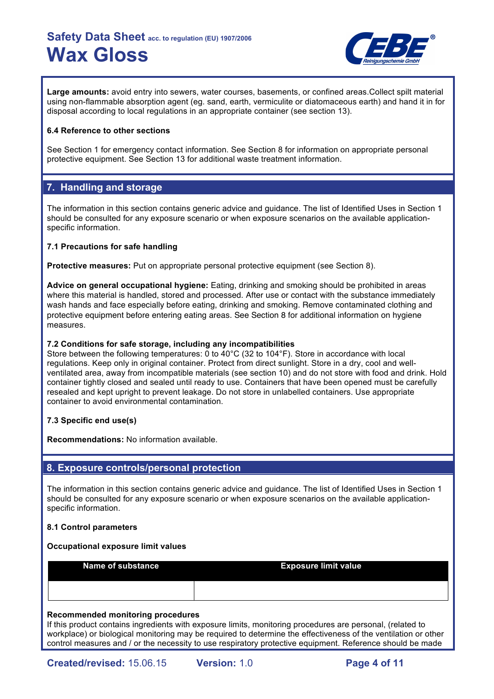

**Large amounts:** avoid entry into sewers, water courses, basements, or confined areas.Collect spilt material using non-flammable absorption agent (eg. sand, earth, vermiculite or diatomaceous earth) and hand it in for disposal according to local regulations in an appropriate container (see section 13).

### **6.4 Reference to other sections**

See Section 1 for emergency contact information. See Section 8 for information on appropriate personal protective equipment. See Section 13 for additional waste treatment information.

# **7. Handling and storage**

The information in this section contains generic advice and guidance. The list of Identified Uses in Section 1 should be consulted for any exposure scenario or when exposure scenarios on the available applicationspecific information.

### **7.1 Precautions for safe handling**

**Protective measures:** Put on appropriate personal protective equipment (see Section 8).

**Advice on general occupational hygiene:** Eating, drinking and smoking should be prohibited in areas where this material is handled, stored and processed. After use or contact with the substance immediately wash hands and face especially before eating, drinking and smoking. Remove contaminated clothing and protective equipment before entering eating areas. See Section 8 for additional information on hygiene measures.

#### **7.2 Conditions for safe storage, including any incompatibilities**

Store between the following temperatures: 0 to 40°C (32 to 104°F). Store in accordance with local regulations. Keep only in original container. Protect from direct sunlight. Store in a dry, cool and wellventilated area, away from incompatible materials (see section 10) and do not store with food and drink. Hold container tightly closed and sealed until ready to use. Containers that have been opened must be carefully resealed and kept upright to prevent leakage. Do not store in unlabelled containers. Use appropriate container to avoid environmental contamination.

## **7.3 Specific end use(s)**

**Recommendations:** No information available.

# **8. Exposure controls/personal protection**

The information in this section contains generic advice and guidance. The list of Identified Uses in Section 1 should be consulted for any exposure scenario or when exposure scenarios on the available applicationspecific information.

#### **8.1 Control parameters**

#### **Occupational exposure limit values**

**Name of substance <b>Exposure limit value** 

#### **Recommended monitoring procedures**

If this product contains ingredients with exposure limits, monitoring procedures are personal, (related to workplace) or biological monitoring may be required to determine the effectiveness of the ventilation or other control measures and / or the necessity to use respiratory protective equipment. Reference should be made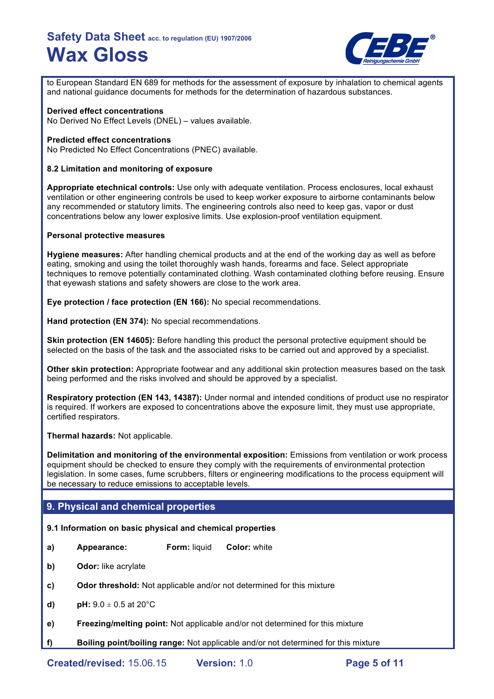

to European Standard EN 689 for methods for the assessment of exposure by inhalation to chemical agents and national guidance documents for methods for the determination of hazardous substances.

#### **Derived effect concentrations**

No Derived No Effect Levels (DNEL) – values available.

#### **Predicted effect concentrations**

No Predicted No Effect Concentrations (PNEC) available.

#### **8.2 Limitation and monitoring of exposure**

**Appropriate etechnical controls:** Use only with adequate ventilation. Process enclosures, local exhaust ventilation or other engineering controls be used to keep worker exposure to airborne contaminants below any recommended or statutory limits. The engineering controls also need to keep gas, vapor or dust concentrations below any lower explosive limits. Use explosion-proof ventilation equipment.

#### **Personal protective measures**

**Hygiene measures:** After handling chemical products and at the end of the working day as well as before eating, smoking and using the toilet thoroughly wash hands, forearms and face. Select appropriate techniques to remove potentially contaminated clothing. Wash contaminated clothing before reusing. Ensure that eyewash stations and safety showers are close to the work area.

**Eye protection / face protection (EN 166):** No special recommendations.

**Hand protection (EN 374):** No special recommendations.

**Skin protection (EN 14605):** Before handling this product the personal protective equipment should be selected on the basis of the task and the associated risks to be carried out and approved by a specialist.

**Other skin protection:** Appropriate footwear and any additional skin protection measures based on the task being performed and the risks involved and should be approved by a specialist.

**Respiratory protection (EN 143, 14387):** Under normal and intended conditions of product use no respirator is required. If workers are exposed to concentrations above the exposure limit, they must use appropriate, certified respirators.

**Thermal hazards:** Not applicable.

**Delimitation and monitoring of the environmental exposition:** Emissions from ventilation or work process equipment should be checked to ensure they comply with the requirements of environmental protection legislation. In some cases, fume scrubbers, filters or engineering modifications to the process equipment will be necessary to reduce emissions to acceptable levels.

## **9. Physical and chemical properties**

#### **9.1 Information on basic physical and chemical properties**

- **a) Appearance: Form:** liquid **Color:** white
- **b) Odor:** like acrylate
- **c) Odor threshold:** Not applicable and/or not determined for this mixture
- **d) pH:**  $9.0 \pm 0.5$  at  $20^{\circ}$ C
- **e) Freezing/melting point:** Not applicable and/or not determined for this mixture
- **f) Boiling point/boiling range:** Not applicable and/or not determined for this mixture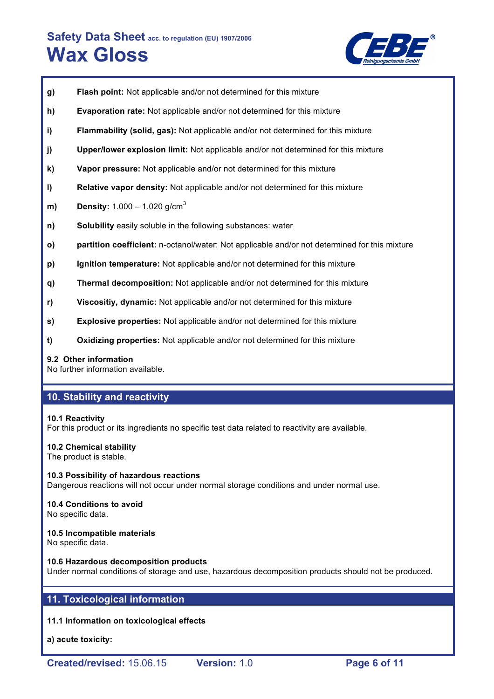

- **g) Flash point:** Not applicable and/or not determined for this mixture
- **h) Evaporation rate:** Not applicable and/or not determined for this mixture
- **i) Flammability (solid, gas):** Not applicable and/or not determined for this mixture
- **j) Upper/lower explosion limit:** Not applicable and/or not determined for this mixture
- **k) Vapor pressure:** Not applicable and/or not determined for this mixture
- **l) Relative vapor density:** Not applicable and/or not determined for this mixture
- **m) Density:** 1.000 1.020 g/cm<sup>3</sup>
- **n) Solubility** easily soluble in the following substances: water
- **o) partition coefficient:** n-octanol/water: Not applicable and/or not determined for this mixture
- **p) Ignition temperature:** Not applicable and/or not determined for this mixture
- **q) Thermal decomposition:** Not applicable and/or not determined for this mixture
- **r) Viscositiy, dynamic:** Not applicable and/or not determined for this mixture
- **s) Explosive properties:** Not applicable and/or not determined for this mixture
- **t) Oxidizing properties:** Not applicable and/or not determined for this mixture

#### **9.2 Other information**

No further information available.

## **10. Stability and reactivity**

#### **10.1 Reactivity**

For this product or its ingredients no specific test data related to reactivity are available.

#### **10.2 Chemical stability**

The product is stable.

**10.3 Possibility of hazardous reactions** Dangerous reactions will not occur under normal storage conditions and under normal use.

## **10.4 Conditions to avoid**

No specific data.

#### **10.5 Incompatible materials**

No specific data.

#### **10.6 Hazardous decomposition products**

Under normal conditions of storage and use, hazardous decomposition products should not be produced.

# **11. Toxicological information**

#### **11.1 Information on toxicological effects**

**a) acute toxicity:**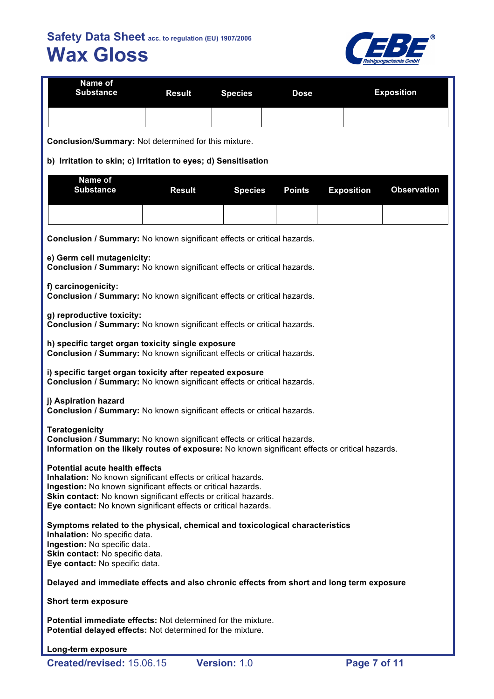**Name of**



| Nalle VI<br><b>Substance</b>                                                                                                                                                                                                                                                                                | <b>Result</b> | <b>Species</b> | <b>Dose</b>   |                   | <b>Exposition</b>  |  |  |
|-------------------------------------------------------------------------------------------------------------------------------------------------------------------------------------------------------------------------------------------------------------------------------------------------------------|---------------|----------------|---------------|-------------------|--------------------|--|--|
| Conclusion/Summary: Not determined for this mixture.                                                                                                                                                                                                                                                        |               |                |               |                   |                    |  |  |
| b) Irritation to skin; c) Irritation to eyes; d) Sensitisation                                                                                                                                                                                                                                              |               |                |               |                   |                    |  |  |
| Name of<br><b>Substance</b>                                                                                                                                                                                                                                                                                 |               |                |               |                   |                    |  |  |
|                                                                                                                                                                                                                                                                                                             | <b>Result</b> | <b>Species</b> | <b>Points</b> | <b>Exposition</b> | <b>Observation</b> |  |  |
|                                                                                                                                                                                                                                                                                                             |               |                |               |                   |                    |  |  |
| Conclusion / Summary: No known significant effects or critical hazards.                                                                                                                                                                                                                                     |               |                |               |                   |                    |  |  |
| e) Germ cell mutagenicity:<br>Conclusion / Summary: No known significant effects or critical hazards.                                                                                                                                                                                                       |               |                |               |                   |                    |  |  |
| f) carcinogenicity:<br>Conclusion / Summary: No known significant effects or critical hazards.                                                                                                                                                                                                              |               |                |               |                   |                    |  |  |
| g) reproductive toxicity:<br>Conclusion / Summary: No known significant effects or critical hazards.                                                                                                                                                                                                        |               |                |               |                   |                    |  |  |
| h) specific target organ toxicity single exposure<br>Conclusion / Summary: No known significant effects or critical hazards.                                                                                                                                                                                |               |                |               |                   |                    |  |  |
| i) specific target organ toxicity after repeated exposure<br>Conclusion / Summary: No known significant effects or critical hazards.                                                                                                                                                                        |               |                |               |                   |                    |  |  |
| j) Aspiration hazard<br>Conclusion / Summary: No known significant effects or critical hazards.                                                                                                                                                                                                             |               |                |               |                   |                    |  |  |
| <b>Teratogenicity</b><br>Conclusion / Summary: No known significant effects or critical hazards.<br>Information on the likely routes of exposure: No known significant effects or critical hazards.                                                                                                         |               |                |               |                   |                    |  |  |
| <b>Potential acute health effects</b><br>Inhalation: No known significant effects or critical hazards.<br>Ingestion: No known significant effects or critical hazards.<br>Skin contact: No known significant effects or critical hazards.<br>Eye contact: No known significant effects or critical hazards. |               |                |               |                   |                    |  |  |
| Symptoms related to the physical, chemical and toxicological characteristics<br>Inhalation: No specific data.<br>Ingestion: No specific data.<br>Skin contact: No specific data.<br>Eye contact: No specific data.                                                                                          |               |                |               |                   |                    |  |  |
| Delayed and immediate effects and also chronic effects from short and long term exposure                                                                                                                                                                                                                    |               |                |               |                   |                    |  |  |
| <b>Short term exposure</b>                                                                                                                                                                                                                                                                                  |               |                |               |                   |                    |  |  |
| <b>Potential immediate effects: Not determined for the mixture.</b><br>Potential delayed effects: Not determined for the mixture.                                                                                                                                                                           |               |                |               |                   |                    |  |  |
| Long-term exposure                                                                                                                                                                                                                                                                                          |               |                |               |                   |                    |  |  |
| Created/revised: 15.06.15                                                                                                                                                                                                                                                                                   |               | Version: 1.0   |               | Page 7 of 11      |                    |  |  |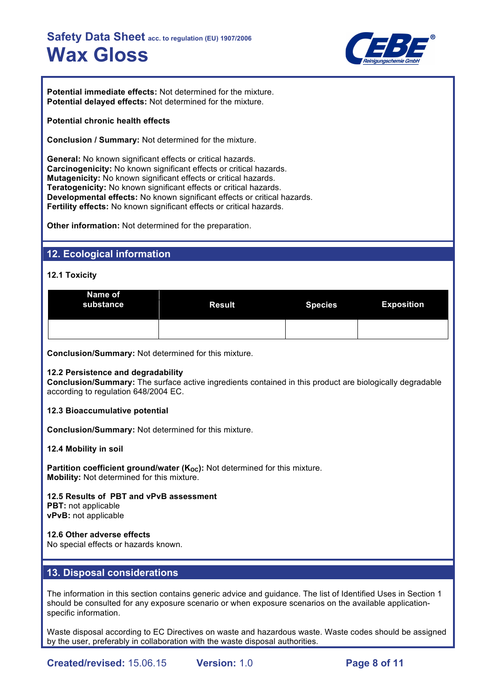

**Potential immediate effects:** Not determined for the mixture. **Potential delayed effects:** Not determined for the mixture.

#### **Potential chronic health effects**

**Conclusion / Summary:** Not determined for the mixture.

**General:** No known significant effects or critical hazards. **Carcinogenicity:** No known significant effects or critical hazards. **Mutagenicity:** No known significant effects or critical hazards. **Teratogenicity:** No known significant effects or critical hazards. **Developmental effects:** No known significant effects or critical hazards. **Fertility effects:** No known significant effects or critical hazards.

**Other information:** Not determined for the preparation.

## **12. Ecological information**

**12.1 Toxicity**

| Name of<br>substance | <b>Result</b> | <b>Species</b> | <b>Exposition</b> |
|----------------------|---------------|----------------|-------------------|
|                      |               |                |                   |

**Conclusion/Summary:** Not determined for this mixture.

#### **12.2 Persistence and degradability**

**Conclusion/Summary:** The surface active ingredients contained in this product are biologically degradable according to regulation 648/2004 EC.

**12.3 Bioaccumulative potential**

**Conclusion/Summary:** Not determined for this mixture.

**12.4 Mobility in soil**

**Partition coefficient ground/water (K<sub>OC</sub>):** Not determined for this mixture. **Mobility:** Not determined for this mixture.

**12.5 Results of PBT and vPvB assessment PBT:** not applicable **vPvB:** not applicable

**12.6 Other adverse effects** No special effects or hazards known.

## **13. Disposal considerations**

The information in this section contains generic advice and guidance. The list of Identified Uses in Section 1 should be consulted for any exposure scenario or when exposure scenarios on the available applicationspecific information.

Waste disposal according to EC Directives on waste and hazardous waste. Waste codes should be assigned by the user, preferably in collaboration with the waste disposal authorities.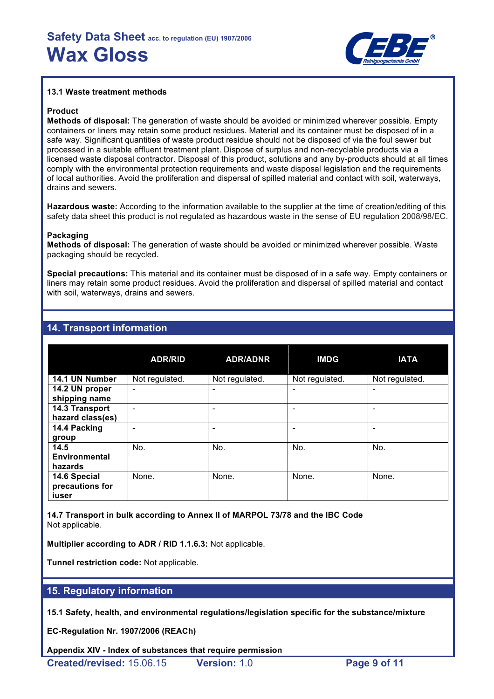

#### **13.1 Waste treatment methods**

#### **Product**

**Methods of disposal:** The generation of waste should be avoided or minimized wherever possible. Empty containers or liners may retain some product residues. Material and its container must be disposed of in a safe way. Significant quantities of waste product residue should not be disposed of via the foul sewer but processed in a suitable effluent treatment plant. Dispose of surplus and non-recyclable products via a licensed waste disposal contractor. Disposal of this product, solutions and any by-products should at all times comply with the environmental protection requirements and waste disposal legislation and the requirements of local authorities. Avoid the proliferation and dispersal of spilled material and contact with soil, waterways, drains and sewers.

**Hazardous waste:** According to the information available to the supplier at the time of creation/editing of this safety data sheet this product is not regulated as hazardous waste in the sense of EU regulation 2008/98/EC.

#### **Packaging**

**Methods of disposal:** The generation of waste should be avoided or minimized wherever possible. Waste packaging should be recycled.

**Special precautions:** This material and its container must be disposed of in a safe way. Empty containers or liners may retain some product residues. Avoid the proliferation and dispersal of spilled material and contact with soil, waterways, drains and sewers.

|                                          | <b>ADR/RID</b>           | <b>ADR/ADNR</b> | <b>IMDG</b>    | <b>IATA</b>              |
|------------------------------------------|--------------------------|-----------------|----------------|--------------------------|
| 14.1 UN Number                           | Not regulated.           | Not regulated.  | Not regulated. | Not regulated.           |
| 14.2 UN proper<br>shipping name          | $\overline{\phantom{a}}$ |                 | -              | $\overline{\phantom{0}}$ |
| 14.3 Transport<br>hazard class(es)       |                          |                 |                |                          |
| 14.4 Packing<br>group                    | -                        |                 | -              | $\overline{\phantom{0}}$ |
| 14.5<br>Environmental<br>hazards         | No.                      | No.             | No.            | No.                      |
| 14.6 Special<br>precautions for<br>iuser | None.                    | None.           | None.          | None.                    |

# **14. Transport information**

**14.7 Transport in bulk according to Annex II of MARPOL 73/78 and the IBC Code** Not applicable.

**Multiplier according to ADR / RID 1.1.6.3:** Not applicable.

**Tunnel restriction code:** Not applicable.

# **15. Regulatory information**

**15.1 Safety, health, and environmental regulations/legislation specific for the substance/mixture**

**EC-Regulation Nr. 1907/2006 (REACh)**

**Appendix XIV - Index of substances that require permission**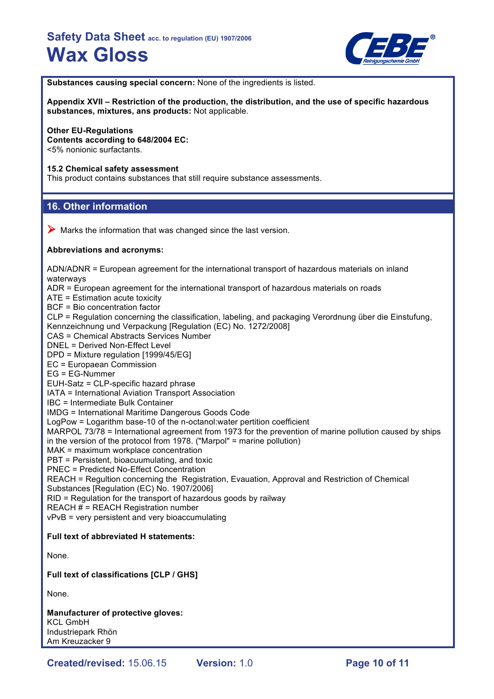

**Substances causing special concern:** None of the ingredients is listed.

**Appendix XVII – Restriction of the production, the distribution, and the use of specific hazardous substances, mixtures, ans products:** Not applicable.

#### **Other EU-Regulations**

**Contents according to 648/2004 EC:** <5% nonionic surfactants.

#### **15.2 Chemical safety assessment**

This product contains substances that still require substance assessments.

## **16. Other information**

 $\triangleright$  Marks the information that was changed since the last version.

#### **Abbreviations and acronyms:**

ADN/ADNR = European agreement for the international transport of hazardous materials on inland waterways ADR = European agreement for the international transport of hazardous materials on roads ATE = Estimation acute toxicity BCF = Bio concentration factor CLP = Regulation concerning the classification, labeling, and packaging Verordnung über die Einstufung, Kennzeichnung und Verpackung [Regulation (EC) No. 1272/2008] CAS = Chemical Abstracts Services Number DNEL = Derived Non-Effect Level DPD = Mixture regulation [1999/45/EG] EC = Europaean Commission EG = EG-Nummer EUH-Satz = CLP-specific hazard phrase IATA = International Aviation Transport Association IBC = Intermediate Bulk Container IMDG = International Maritime Dangerous Goods Code LogPow = Logarithm base-10 of the n-octanol:water pertition coefficient MARPOL 73/78 = International agreement from 1973 for the prevention of marine pollution caused by ships in the version of the protocol from 1978. ("Marpol" = marine pollution) MAK = maximum workplace concentration PBT = Persistent, bioacuumulating, and toxic PNEC = Predicted No-Effect Concentration REACH = Regultion concerning the Registration, Evauation, Approval and Restriction of Chemical Substances [Regulation (EC) No. 1907/2006] RID = Regulation for the transport of hazardous goods by railway REACH # = REACH Registration number vPvB = very persistent and very bioaccumulating **Full text of abbreviated H statements:** None. **Full text of classifications [CLP / GHS]**

None.

**Manufacturer of protective gloves:** KCL GmbH Industriepark Rhön Am Kreuzacker 9

**Created/revised:** 15.06.15 **Version:** 1.0 **Page 10 of 11**